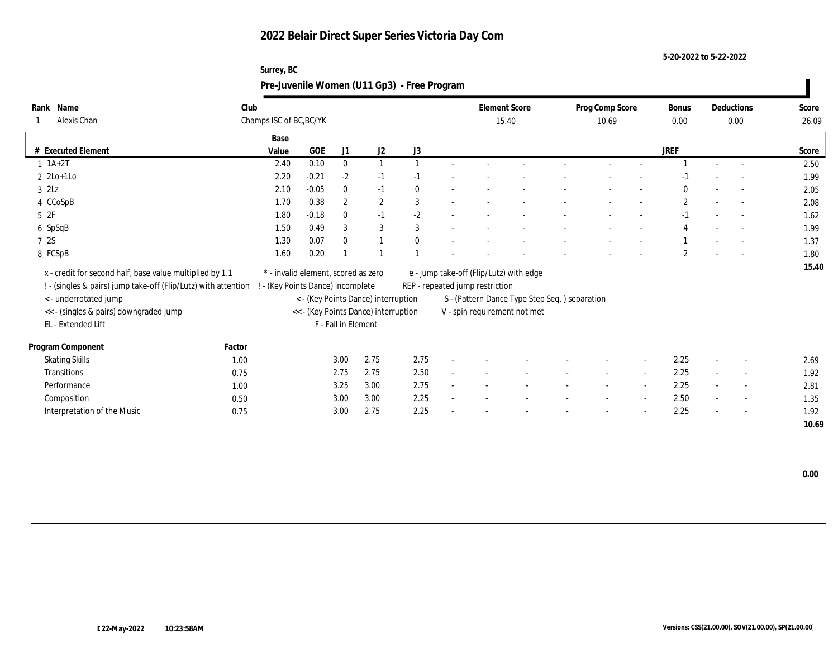**Surrey, BC**

**5-20-2022 to 5-22-2022**

|                                                                |        |                                     |         |                     |                                      | Pre-Juvenile Women (U11 Gp3) - Free Program |                                 |                                               |                          |                          |                      |                          |                |
|----------------------------------------------------------------|--------|-------------------------------------|---------|---------------------|--------------------------------------|---------------------------------------------|---------------------------------|-----------------------------------------------|--------------------------|--------------------------|----------------------|--------------------------|----------------|
| Rank Name<br>Alexis Chan                                       | Club   | Champs ISC of BC, BC/YK             |         |                     |                                      |                                             | 15.40                           | <b>Element Score</b>                          | Prog Comp Score<br>10.69 |                          | <b>Bonus</b><br>0.00 | Deductions<br>0.00       | Score<br>26.09 |
| # Executed Element                                             |        | Base<br>Value                       | GOE     | J1                  | J2                                   | J3                                          |                                 |                                               |                          |                          | <b>JREF</b>          |                          | Score          |
| $1 \t1A+2T$                                                    |        | 2.40                                | 0.10    | $\mathbf{0}$        |                                      |                                             |                                 |                                               |                          |                          |                      |                          | 2.50           |
| $2 \text{2Lo+1Lo}$                                             |        | 2.20                                | $-0.21$ | $-2$                | $-1$                                 |                                             |                                 |                                               |                          |                          |                      |                          | 1.99           |
| $3$ $2\text{L}z$                                               |        | 2.10                                | $-0.05$ | $\mathbf{0}$        | $-1$                                 |                                             |                                 |                                               |                          |                          |                      | $\overline{a}$           | 2.05           |
| 4 CCoSpB                                                       |        | 1.70                                | 0.38    | $\mathbf{2}$        | $\mathbf{2}$                         | 3                                           |                                 |                                               |                          |                          | $\mathbf{2}$         | $\sim$                   | 2.08           |
| 52F                                                            |        | 1.80                                | $-0.18$ | $\bf{0}$            | $-1$                                 | $-2$                                        |                                 |                                               |                          |                          |                      |                          | 1.62           |
| 6 SpSqB                                                        |        | 1.50                                | 0.49    | 3                   | 3                                    | 3                                           |                                 |                                               |                          |                          |                      |                          | 1.99           |
| 7 2S                                                           |        | 1.30                                | 0.07    | $\mathbf{0}$        |                                      |                                             |                                 |                                               |                          |                          |                      | $\overline{\phantom{a}}$ | 1.37           |
| 8 FCSpB                                                        |        | 1.60                                | 0.20    |                     |                                      |                                             |                                 |                                               |                          |                          | $\overline{2}$       | $\sim$                   | 1.80           |
| x - credit for second half, base value multiplied by 1.1       |        | * - invalid element, scored as zero |         |                     |                                      |                                             |                                 | e - jump take-off (Flip/Lutz) with edge       |                          |                          |                      |                          | 15.40          |
| ! - (singles & pairs) jump take-off (Flip/Lutz) with attention |        | - (Key Points Dance) incomplete     |         |                     |                                      |                                             | REP - repeated jump restriction |                                               |                          |                          |                      |                          |                |
| <- underrotated jump                                           |        |                                     |         |                     | < - (Key Points Dance) interruption  |                                             |                                 | S - (Pattern Dance Type Step Seq.) separation |                          |                          |                      |                          |                |
| << - (singles & pairs) downgraded jump                         |        |                                     |         |                     | << - (Key Points Dance) interruption |                                             |                                 | V - spin requirement not met                  |                          |                          |                      |                          |                |
| EL - Extended Lift                                             |        |                                     |         | F - Fall in Element |                                      |                                             |                                 |                                               |                          |                          |                      |                          |                |
| Program Component                                              | Factor |                                     |         |                     |                                      |                                             |                                 |                                               |                          |                          |                      |                          |                |
| <b>Skating Skills</b>                                          | 1.00   |                                     |         | 3.00                | 2.75                                 | 2.75                                        |                                 |                                               |                          |                          | 2.25                 |                          | 2.69           |
| Transitions                                                    | 0.75   |                                     |         | 2.75                | 2.75                                 | 2.50                                        |                                 |                                               |                          | $\sim$                   | 2.25                 | $\overline{\phantom{a}}$ | 1.92           |
| Performance                                                    | 1.00   |                                     |         | 3.25                | 3.00                                 | 2.75                                        |                                 |                                               |                          | $\sim$                   | 2.25                 | $\sim$                   | 2.81           |
| Composition                                                    | 0.50   |                                     |         | 3.00                | 3.00                                 | 2.25                                        |                                 |                                               |                          | $\overline{\phantom{a}}$ | 2.50                 | $\sim$                   | 1.35           |
| Interpretation of the Music                                    | 0.75   |                                     |         | 3.00                | 2.75                                 | 2.25                                        |                                 |                                               |                          |                          | 2.25                 | $\overline{\phantom{a}}$ | 1.92           |
|                                                                |        |                                     |         |                     |                                      |                                             |                                 |                                               |                          |                          |                      |                          | 10.69          |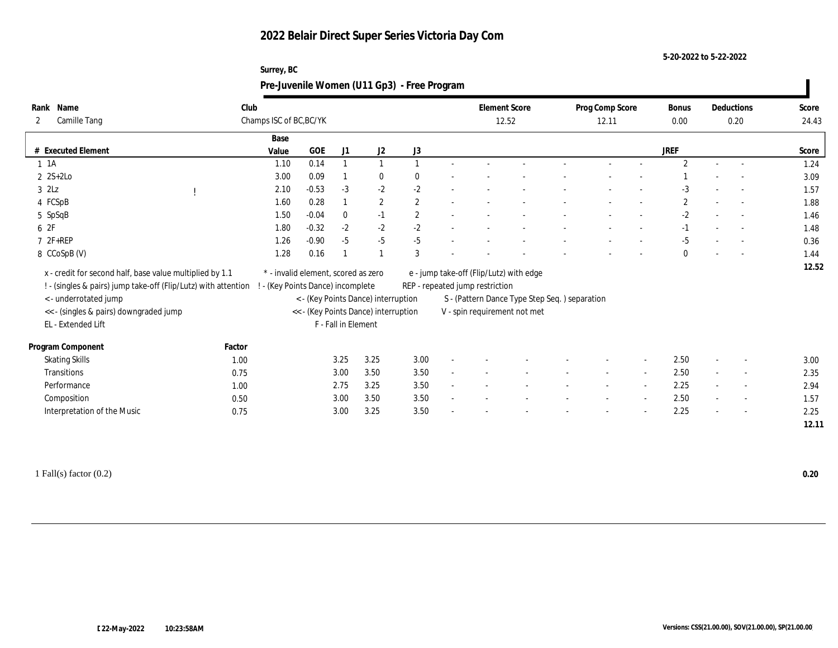**Surrey, BC**

**5-20-2022 to 5-22-2022**

| Rank Name<br><b>Camille Tang</b><br>2                          | Club   | Champs ISC of BC, BC/YK             |         |                     |                                      |                | <b>Element Score</b><br>12.52   |                                               | Prog Comp Score<br>12.11 |                          | <b>Bonus</b><br>0.00 | Deductions<br>0.20       | Score<br>24.43 |
|----------------------------------------------------------------|--------|-------------------------------------|---------|---------------------|--------------------------------------|----------------|---------------------------------|-----------------------------------------------|--------------------------|--------------------------|----------------------|--------------------------|----------------|
|                                                                |        | Base                                |         |                     |                                      |                |                                 |                                               |                          |                          | <b>JREF</b>          |                          |                |
| # Executed Element                                             |        | Value                               | GOE     | J1                  | J2                                   | J3             |                                 |                                               |                          |                          | $\overline{2}$       |                          | Score          |
| $1 \t1A$                                                       |        | 1.10                                | 0.14    |                     |                                      |                |                                 |                                               |                          |                          |                      | $\overline{\phantom{a}}$ | 1.24           |
| $2$ 2S+2Lo                                                     |        | 3.00                                | 0.09    |                     | $\bf{0}$                             |                |                                 |                                               |                          |                          |                      |                          | 3.09           |
| $3$ $2Lz$                                                      |        | 2.10                                | $-0.53$ | $-3$                | $-2$                                 | $-2$           |                                 |                                               |                          |                          | $-3$                 |                          | 1.57           |
| 4 FCSpB                                                        |        | 1.60                                | 0.28    |                     | $\mathbf{2}$                         | $\mathbf{2}$   |                                 |                                               |                          |                          | $\overline{2}$       |                          | 1.88           |
| 5 SpSqB                                                        |        | 1.50                                | $-0.04$ | $\mathbf{0}$        | $-1$                                 | $\overline{2}$ |                                 |                                               |                          |                          | $-2$                 | $\overline{a}$           | 1.46           |
| 6 2F                                                           |        | 1.80                                | $-0.32$ | $-2$                | $-2$                                 | $-2$           |                                 |                                               |                          |                          | $-1$                 |                          | 1.48           |
| 7 2F+REP                                                       |        | 1.26                                | $-0.90$ | $-5$                | $-5$                                 | $-5$           |                                 |                                               |                          |                          | $-5$                 | $\sim$                   | 0.36           |
| 8 CCoSpB (V)                                                   |        | 1.28                                | 0.16    |                     |                                      | 3              |                                 |                                               |                          |                          | $\mathbf{0}$         | $\overline{a}$           | 1.44           |
|                                                                |        |                                     |         |                     |                                      |                |                                 |                                               |                          |                          |                      |                          |                |
| x - credit for second half, base value multiplied by 1.1       |        | * - invalid element, scored as zero |         |                     |                                      |                |                                 | e - jump take-off (Flip/Lutz) with edge       |                          |                          |                      |                          | 12.52          |
| ! - (singles & pairs) jump take-off (Flip/Lutz) with attention |        | - (Key Points Dance) incomplete     |         |                     |                                      |                | REP - repeated jump restriction |                                               |                          |                          |                      |                          |                |
| <- underrotated jump                                           |        |                                     |         |                     | < - (Key Points Dance) interruption  |                |                                 | S - (Pattern Dance Type Step Seq.) separation |                          |                          |                      |                          |                |
| << - (singles & pairs) downgraded jump                         |        |                                     |         |                     | << - (Key Points Dance) interruption |                | V - spin requirement not met    |                                               |                          |                          |                      |                          |                |
| EL - Extended Lift                                             |        |                                     |         | F - Fall in Element |                                      |                |                                 |                                               |                          |                          |                      |                          |                |
| Program Component                                              | Factor |                                     |         |                     |                                      |                |                                 |                                               |                          |                          |                      |                          |                |
| <b>Skating Skills</b>                                          | 1.00   |                                     |         | 3.25                | 3.25                                 | 3.00           |                                 |                                               |                          | $\overline{\phantom{a}}$ | 2.50                 |                          | 3.00           |
| Transitions                                                    | 0.75   |                                     |         | 3.00                | 3.50                                 | 3.50           |                                 |                                               | $\sim$                   | $\sim$                   | 2.50                 | $\sim$                   | 2.35           |
| Performance                                                    | 1.00   |                                     |         | 2.75                | 3.25                                 | 3.50           |                                 |                                               |                          | $\sim$                   | 2.25                 | $\overline{\phantom{a}}$ | 2.94           |
|                                                                | 0.50   |                                     |         | 3.00                | 3.50                                 | 3.50           |                                 |                                               |                          | $\overline{\phantom{a}}$ | 2.50                 | $\overline{\phantom{a}}$ | 1.57           |
| Composition<br>Interpretation of the Music                     | 0.75   |                                     |         | 3.00                | 3.25                                 | 3.50           |                                 |                                               |                          |                          | 2.25                 |                          | 2.25           |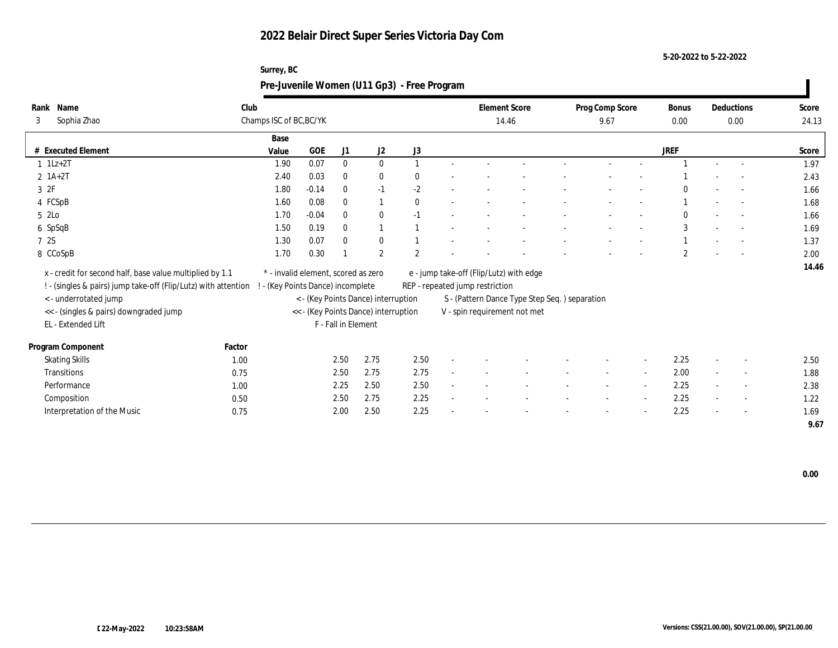**Surrey, BC**

**5-20-2022 to 5-22-2022**

|                                                                |        |                                     |         |                     |                                      | Pre-Juvenile Women (U11 Gp3) - Free Program |                                         |                                               |                 |                          |                |                          |       |
|----------------------------------------------------------------|--------|-------------------------------------|---------|---------------------|--------------------------------------|---------------------------------------------|-----------------------------------------|-----------------------------------------------|-----------------|--------------------------|----------------|--------------------------|-------|
| Rank Name                                                      | Club   |                                     |         |                     |                                      |                                             | <b>Element Score</b>                    |                                               | Prog Comp Score |                          | Bonus          | Deductions               | Score |
| Sophia Zhao<br>3                                               |        | Champs ISC of BC, BC/YK             |         |                     |                                      |                                             | 14.46                                   |                                               | 9.67            |                          | 0.00           | 0.00                     | 24.13 |
|                                                                |        | Base                                |         |                     |                                      |                                             |                                         |                                               |                 |                          |                |                          |       |
| # Executed Element                                             |        | Value                               | GOE     | J <sub>1</sub>      | J2                                   | J3                                          |                                         |                                               |                 |                          | <b>JREF</b>    |                          | Score |
| $1$ 1Lz+2T                                                     |        | 1.90                                | 0.07    | $\mathbf{0}$        | $\mathbf{0}$                         |                                             |                                         |                                               |                 |                          |                |                          | 1.97  |
| $2 \; 1A+2T$                                                   |        | 2.40                                | 0.03    | $\Omega$            | $\bf{0}$                             | 0                                           |                                         |                                               |                 |                          |                |                          | 2.43  |
| 3 2F                                                           |        | 1.80                                | $-0.14$ | $\theta$            | $-1$                                 | $-2$                                        |                                         |                                               |                 |                          |                |                          | 1.66  |
| 4 FCSpB                                                        |        | 1.60                                | 0.08    | $\theta$            |                                      | $\mathbf{0}$                                |                                         |                                               |                 |                          |                |                          | 1.68  |
| 5 2Lo                                                          |        | 1.70                                | $-0.04$ | $\Omega$            | $\mathbf{0}$                         | $-1$                                        |                                         |                                               |                 |                          | $\Omega$       | $\overline{\phantom{a}}$ | 1.66  |
| 6 SpSqB                                                        |        | 1.50                                | 0.19    | $\theta$            |                                      |                                             |                                         |                                               |                 |                          | 3              | $\sim$                   | 1.69  |
| 7 2S                                                           |        | 1.30                                | 0.07    | $\theta$            | $\bf{0}$                             |                                             |                                         |                                               |                 |                          |                | $\sim$                   | 1.37  |
| 8 CCoSpB                                                       |        | 1.70                                | 0.30    |                     | $\mathbf{2}$                         | $\overline{2}$                              |                                         |                                               |                 |                          | $\overline{2}$ |                          | 2.00  |
| x - credit for second half, base value multiplied by 1.1       |        | * - invalid element, scored as zero |         |                     |                                      |                                             | e - jump take-off (Flip/Lutz) with edge |                                               |                 |                          |                |                          | 14.46 |
| ! - (singles & pairs) jump take-off (Flip/Lutz) with attention |        | - (Key Points Dance) incomplete     |         |                     |                                      |                                             | REP - repeated jump restriction         |                                               |                 |                          |                |                          |       |
| <- underrotated jump                                           |        |                                     |         |                     | < - (Key Points Dance) interruption  |                                             |                                         | S - (Pattern Dance Type Step Seq.) separation |                 |                          |                |                          |       |
| << - (singles & pairs) downgraded jump                         |        |                                     |         |                     | << - (Key Points Dance) interruption |                                             | V - spin requirement not met            |                                               |                 |                          |                |                          |       |
| EL - Extended Lift                                             |        |                                     |         | F - Fall in Element |                                      |                                             |                                         |                                               |                 |                          |                |                          |       |
|                                                                |        |                                     |         |                     |                                      |                                             |                                         |                                               |                 |                          |                |                          |       |
| Program Component                                              | Factor |                                     |         |                     |                                      |                                             |                                         |                                               |                 |                          |                |                          |       |
| <b>Skating Skills</b>                                          | 1.00   |                                     |         | 2.50                | 2.75                                 | 2.50                                        |                                         |                                               |                 | $\overline{\phantom{a}}$ | 2.25           |                          | 2.50  |
| Transitions                                                    | 0.75   |                                     |         | 2.50                | 2.75                                 | 2.75                                        |                                         |                                               |                 | $\sim$                   | 2.00           |                          | 1.88  |
| Performance                                                    | 1.00   |                                     |         | 2.25                | 2.50                                 | 2.50                                        |                                         |                                               |                 | $\sim$                   | 2.25           | $\sim$                   | 2.38  |
| Composition                                                    | 0.50   |                                     |         | 2.50                | 2.75                                 | 2.25                                        |                                         |                                               |                 | $\sim$                   | 2.25           | $\overline{a}$           | 1.22  |
| Interpretation of the Music                                    | 0.75   |                                     |         | 2.00                | 2.50                                 | 2.25                                        |                                         |                                               |                 |                          | 2.25           |                          | 1.69  |
|                                                                |        |                                     |         |                     |                                      |                                             |                                         |                                               |                 |                          |                |                          | 9.67  |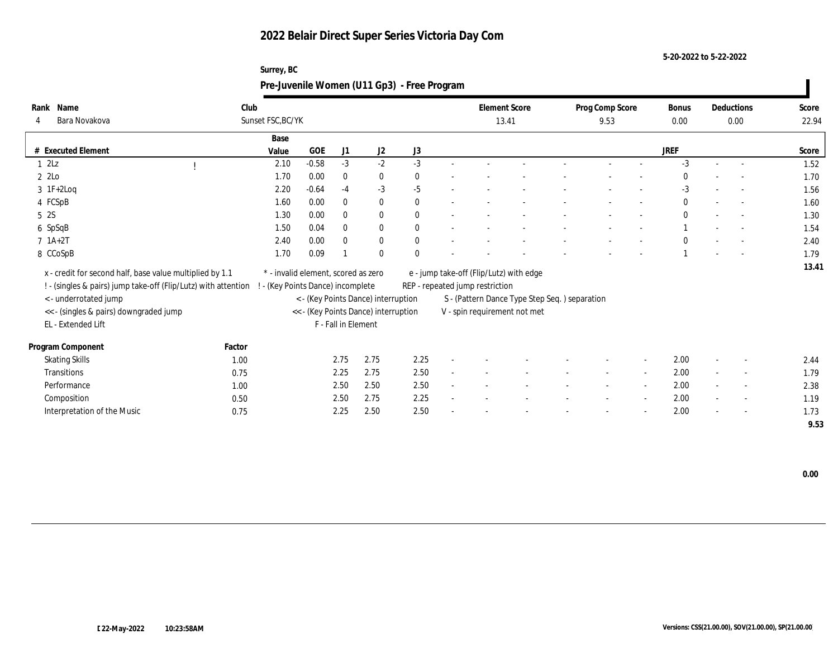**Surrey, BC**

**5-20-2022 to 5-22-2022**

|                                                                |        | Pre-Juvenile Women (U11 Gp3) - Free Program |         |                     |                                      |              |                                         |                                               |                 |                          |              |        |                          |       |
|----------------------------------------------------------------|--------|---------------------------------------------|---------|---------------------|--------------------------------------|--------------|-----------------------------------------|-----------------------------------------------|-----------------|--------------------------|--------------|--------|--------------------------|-------|
| Rank Name                                                      | Club   |                                             |         |                     |                                      |              | <b>Element Score</b>                    |                                               | Prog Comp Score |                          | Bonus        |        | Deductions               | Score |
| Bara Novakova<br>4                                             |        | Sunset FSC, BC/YK                           |         |                     |                                      |              | 13.41                                   |                                               | 9.53            |                          | 0.00         |        | 0.00                     | 22.94 |
|                                                                |        | Base                                        |         |                     |                                      |              |                                         |                                               |                 |                          |              |        |                          |       |
| # Executed Element                                             |        | Value                                       | GOE     | J1                  | J2                                   | J3           |                                         |                                               |                 |                          | <b>JREF</b>  |        |                          | Score |
| 12Lz                                                           |        | 2.10                                        | $-0.58$ | $-3$                | $-2$                                 | $-3$         |                                         |                                               |                 |                          | $-3$         | $\sim$ | $\sim$                   | 1.52  |
| 2 2Lo                                                          |        | 1.70                                        | 0.00    | $\theta$            | $\bf{0}$                             | 0            |                                         |                                               |                 |                          |              |        |                          | 1.70  |
| $3 \text{ IF+2Log}$                                            |        | 2.20                                        | $-0.64$ | $-4$                | $-3$                                 | $-5$         |                                         |                                               |                 |                          | $-3$         |        |                          | 1.56  |
| 4 FCSpB                                                        |        | 1.60                                        | 0.00    | $\theta$            | $\bf{0}$                             | $\mathbf{0}$ |                                         |                                               |                 |                          | $\mathbf{0}$ |        |                          | 1.60  |
| 5 2S                                                           |        | 1.30                                        | 0.00    | $\theta$            | $\mathbf{0}$                         | $\mathbf{0}$ |                                         |                                               |                 |                          | $\mathbf{0}$ |        | $\overline{\phantom{a}}$ | 1.30  |
| 6 SpSqB                                                        |        | 1.50                                        | 0.04    | $\theta$            | $\mathbf{0}$                         | $\mathbf{0}$ |                                         |                                               |                 |                          |              |        | $\sim$                   | 1.54  |
| $7 \; 1A+2T$                                                   |        | 2.40                                        | 0.00    | $\Omega$            | $\bf{0}$                             | $\mathbf{0}$ |                                         |                                               |                 |                          | $\Omega$     |        | $\sim$                   | 2.40  |
| 8 CCoSpB                                                       |        | 1.70                                        | 0.09    |                     | $\bf{0}$                             |              |                                         |                                               |                 |                          |              |        |                          | 1.79  |
| x - credit for second half, base value multiplied by 1.1       |        | * - invalid element, scored as zero         |         |                     |                                      |              | e - jump take-off (Flip/Lutz) with edge |                                               |                 |                          |              |        |                          | 13.41 |
| ! - (singles & pairs) jump take-off (Flip/Lutz) with attention |        | - (Key Points Dance) incomplete             |         |                     |                                      |              | REP - repeated jump restriction         |                                               |                 |                          |              |        |                          |       |
| <- underrotated jump                                           |        |                                             |         |                     | < - (Key Points Dance) interruption  |              |                                         | S - (Pattern Dance Type Step Seq.) separation |                 |                          |              |        |                          |       |
| << - (singles & pairs) downgraded jump                         |        |                                             |         |                     | << - (Key Points Dance) interruption |              | V - spin requirement not met            |                                               |                 |                          |              |        |                          |       |
| EL - Extended Lift                                             |        |                                             |         | F - Fall in Element |                                      |              |                                         |                                               |                 |                          |              |        |                          |       |
|                                                                |        |                                             |         |                     |                                      |              |                                         |                                               |                 |                          |              |        |                          |       |
| Program Component                                              | Factor |                                             |         |                     |                                      |              |                                         |                                               |                 |                          |              |        |                          |       |
| <b>Skating Skills</b>                                          | 1.00   |                                             |         | 2.75                | 2.75                                 | 2.25         |                                         |                                               |                 | $\overline{\phantom{a}}$ | 2.00         |        |                          | 2.44  |
| Transitions                                                    | 0.75   |                                             |         | 2.25                | 2.75                                 | 2.50         |                                         |                                               |                 | $\sim$                   | 2.00         |        |                          | 1.79  |
| Performance                                                    | 1.00   |                                             |         | 2.50                | 2.50                                 | 2.50         |                                         |                                               |                 | $\sim$                   | 2.00         |        | $\sim$                   | 2.38  |
| Composition                                                    | 0.50   |                                             |         | 2.50                | 2.75                                 | 2.25         |                                         |                                               |                 | $\sim$                   | 2.00         |        | $\overline{a}$           | 1.19  |
| Interpretation of the Music                                    | 0.75   |                                             |         | 2.25                | 2.50                                 | 2.50         |                                         |                                               |                 |                          | 2.00         |        |                          | 1.73  |
|                                                                |        |                                             |         |                     |                                      |              |                                         |                                               |                 |                          |              |        |                          | 9.53  |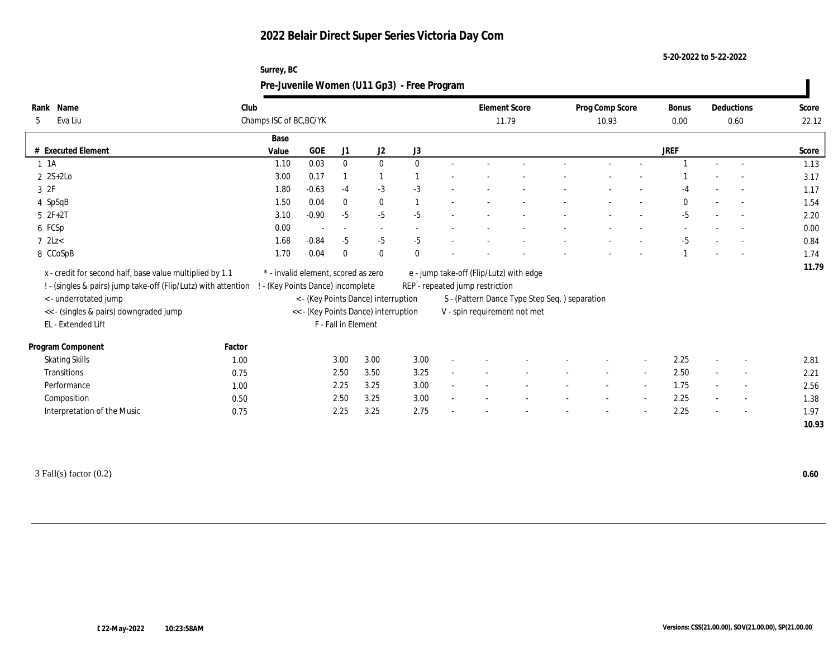**Surrey, BC**

**5-20-2022 to 5-22-2022**

| Rank Name<br>Eva Liu<br>5                                                                                                  | Club         | Champs ISC of BC, BC/YK                                                |                          |                     |                                      |          | <b>Element Score</b><br>11.79   |                                               | Prog Comp Score<br>10.93 |                          | <b>Bonus</b><br>0.00 | Deductions<br>0.60       | Score<br>22.12 |
|----------------------------------------------------------------------------------------------------------------------------|--------------|------------------------------------------------------------------------|--------------------------|---------------------|--------------------------------------|----------|---------------------------------|-----------------------------------------------|--------------------------|--------------------------|----------------------|--------------------------|----------------|
|                                                                                                                            |              | Base                                                                   |                          |                     |                                      |          |                                 |                                               |                          |                          |                      |                          |                |
| # Executed Element                                                                                                         |              | Value                                                                  | $_{\rm GOE}$             | J1                  | J2                                   | J3       |                                 |                                               |                          |                          | <b>JREF</b>          |                          | Score          |
| $1 \t1A$                                                                                                                   |              | 1.10                                                                   | 0.03                     | $\bf{0}$            | $\mathbf{0}$                         | $\Omega$ |                                 |                                               |                          |                          |                      |                          | 1.13           |
| $2 \text{ } 2S+2Lo$                                                                                                        |              | 3.00                                                                   | 0.17                     |                     |                                      |          |                                 |                                               |                          |                          |                      |                          | 3.17           |
| 3ZF                                                                                                                        |              | 1.80                                                                   | $-0.63$                  | $-4$                | $-3$                                 | $-3$     |                                 |                                               |                          |                          |                      |                          | 1.17           |
| 4 SpSqB                                                                                                                    |              | 1.50                                                                   | 0.04                     | $\theta$            | $\bf{0}$                             |          |                                 |                                               |                          |                          | $\Omega$             | $\overline{\phantom{a}}$ | 1.54           |
| $52F+2T$                                                                                                                   |              | 3.10                                                                   | $-0.90$                  | $-5$                | $-5$                                 | $-5$     |                                 |                                               |                          |                          | $-5$                 | $\overline{\phantom{a}}$ | 2.20           |
| 6 FCSp                                                                                                                     |              | 0.00                                                                   | $\overline{\phantom{a}}$ |                     |                                      |          |                                 |                                               |                          |                          |                      |                          | 0.00           |
| $7$ 2Lz $<$                                                                                                                |              | 1.68                                                                   | $-0.84$                  | $-5$                | $-5$                                 | $-5$     |                                 |                                               |                          |                          | $-5$                 | $\overline{\phantom{a}}$ | 0.84           |
|                                                                                                                            |              |                                                                        |                          |                     |                                      |          |                                 |                                               |                          |                          |                      |                          |                |
| 8 CCoSpB                                                                                                                   |              | 1.70                                                                   | 0.04                     | $\theta$            | $\theta$                             |          |                                 |                                               |                          |                          |                      |                          | 1.74           |
| x - credit for second half, base value multiplied by 1.1<br>! - (singles & pairs) jump take-off (Flip/Lutz) with attention |              | * - invalid element, scored as zero<br>- (Key Points Dance) incomplete |                          |                     |                                      |          | REP - repeated jump restriction | e - jump take-off (Flip/Lutz) with edge       |                          |                          |                      |                          | 11.79          |
| <- underrotated jump                                                                                                       |              |                                                                        |                          |                     | < - (Key Points Dance) interruption  |          |                                 | S - (Pattern Dance Type Step Seq.) separation |                          |                          |                      |                          |                |
| << - (singles & pairs) downgraded jump<br>EL - Extended Lift                                                               |              |                                                                        |                          | F - Fall in Element | << - (Key Points Dance) interruption |          |                                 | V - spin requirement not met                  |                          |                          |                      |                          |                |
| Program Component                                                                                                          | Factor       |                                                                        |                          |                     |                                      |          |                                 |                                               |                          |                          |                      |                          |                |
|                                                                                                                            | 1.00         |                                                                        |                          | 3.00                | 3.00                                 | 3.00     |                                 |                                               |                          | $\overline{\phantom{a}}$ | 2.25                 |                          | 2.81           |
| <b>Skating Skills</b><br>Transitions                                                                                       | 0.75         |                                                                        |                          |                     | 3.50                                 | 3.25     |                                 |                                               |                          | $\sim$                   | 2.50                 | $\overline{\phantom{a}}$ | 2.21           |
| Performance                                                                                                                |              |                                                                        |                          | 2.50                | 3.25                                 | 3.00     |                                 |                                               |                          | $\sim$                   | 1.75                 | $\sim$                   |                |
|                                                                                                                            | 1.00         |                                                                        |                          | 2.25                | 3.25                                 | 3.00     |                                 |                                               |                          | $\sim$                   | 2.25                 |                          | 2.56           |
| Composition<br>Interpretation of the Music                                                                                 | 0.50<br>0.75 |                                                                        |                          | 2.50<br>2.25        | 3.25                                 | 2.75     |                                 |                                               |                          |                          | 2.25                 |                          | 1.38<br>1.97   |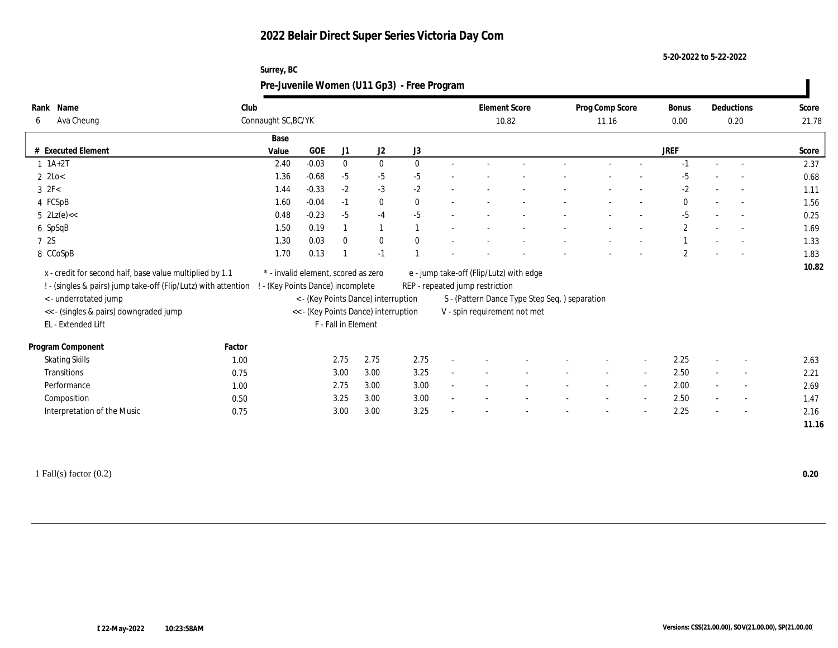**Surrey, BC**

**5-20-2022 to 5-22-2022**

|                                                                |                                 |                                     |                     |                                                                             | Pre-Juvenile Women (U11 Gp3) - Free Program |                                 |                                                                               |                          |                          |                      |                          |                |
|----------------------------------------------------------------|---------------------------------|-------------------------------------|---------------------|-----------------------------------------------------------------------------|---------------------------------------------|---------------------------------|-------------------------------------------------------------------------------|--------------------------|--------------------------|----------------------|--------------------------|----------------|
| Rank Name<br>Ava Cheung<br>6                                   | Club<br>Connaught SC, BC/YK     |                                     |                     |                                                                             |                                             |                                 | <b>Element Score</b><br>10.82                                                 | Prog Comp Score<br>11.16 |                          | <b>Bonus</b><br>0.00 | Deductions<br>0.20       | Score<br>21.78 |
|                                                                | Base                            | GOE                                 |                     |                                                                             |                                             |                                 |                                                                               |                          |                          | <b>JREF</b>          |                          |                |
| # Executed Element<br>$1 \ 1A+2T$                              | Value<br>2.40                   | $-0.03$                             | J1<br>$\mathbf{0}$  | J2<br>$\mathbf{0}$                                                          | J3<br>$\mathbf{0}$                          |                                 |                                                                               |                          |                          |                      | $\sim$                   | Score<br>2.37  |
| $2 \text{ } 2 \text{Lo} <$                                     | 1.36                            | $-0.68$                             | $-5$                | $-5$                                                                        | $-5$                                        |                                 |                                                                               |                          |                          |                      |                          | 0.68           |
| $3 \text{ } 2F<$                                               | 1.44                            | $-0.33$                             | $-2$                | $-3$                                                                        | $-2$                                        |                                 |                                                                               |                          |                          | $-2$                 | $\overline{\phantom{a}}$ | 1.11           |
| 4 FCSpB                                                        | 1.60                            | $-0.04$                             | $-1$                | $\bf{0}$                                                                    | $\Omega$                                    |                                 |                                                                               |                          |                          | $\mathbf{0}$         | $\overline{a}$           | 1.56           |
| $5 \text{ } 2\text{Lz}(e) <$                                   | 0.48                            | $-0.23$                             | $-5$                | $-4$                                                                        | $-5$                                        |                                 |                                                                               |                          |                          | $-5$                 | $\overline{\phantom{a}}$ | 0.25           |
| 6 SpSqB                                                        | 1.50                            | 0.19                                |                     |                                                                             |                                             |                                 |                                                                               |                          |                          | $\mathbf{2}$         | $\overline{\phantom{a}}$ | 1.69           |
| 7 2S                                                           | 1.30                            | 0.03                                | $\mathbf{0}$        | $\bf{0}$                                                                    |                                             |                                 |                                                                               |                          |                          |                      |                          | 1.33           |
| 8 CCoSpB                                                       | 1.70                            | 0.13                                |                     | $-1$                                                                        |                                             |                                 |                                                                               |                          |                          | $\overline{2}$       | $\overline{a}$           | 1.83           |
| x - credit for second half, base value multiplied by 1.1       |                                 | * - invalid element, scored as zero |                     |                                                                             |                                             |                                 | e - jump take-off (Flip/Lutz) with edge                                       |                          |                          |                      |                          | 10.82          |
| ! - (singles & pairs) jump take-off (Flip/Lutz) with attention | - (Key Points Dance) incomplete |                                     |                     |                                                                             |                                             | REP - repeated jump restriction |                                                                               |                          |                          |                      |                          |                |
| <- underrotated jump<br><< - (singles & pairs) downgraded jump |                                 |                                     |                     | < - (Key Points Dance) interruption<br><< - (Key Points Dance) interruption |                                             |                                 | S - (Pattern Dance Type Step Seq.) separation<br>V - spin requirement not met |                          |                          |                      |                          |                |
| EL - Extended Lift                                             |                                 |                                     | F - Fall in Element |                                                                             |                                             |                                 |                                                                               |                          |                          |                      |                          |                |
| Program Component<br>Factor                                    |                                 |                                     |                     |                                                                             |                                             |                                 |                                                                               |                          |                          |                      |                          |                |
| <b>Skating Skills</b>                                          | 1.00                            |                                     | 2.75                | 2.75                                                                        | 2.75                                        |                                 |                                                                               |                          |                          | 2.25                 |                          | 2.63           |
| Transitions                                                    | 0.75                            |                                     | 3.00                | 3.00                                                                        | 3.25                                        |                                 |                                                                               |                          | $\sim$                   | 2.50                 | $\overline{\phantom{a}}$ | 2.21           |
| Performance                                                    | 1.00                            |                                     | 2.75                | 3.00                                                                        | 3.00                                        |                                 |                                                                               |                          | $\sim$                   | 2.00                 |                          | 2.69           |
| Composition                                                    | 0.50                            |                                     | 3.25                | 3.00                                                                        | 3.00                                        |                                 |                                                                               |                          | $\sim$                   | 2.50                 | $\sim$                   | 1.47           |
| Interpretation of the Music                                    | 0.75                            |                                     | 3.00                | 3.00                                                                        | 3.25                                        |                                 |                                                                               |                          | $\overline{\phantom{a}}$ | 2.25                 | $\overline{\phantom{a}}$ | 2.16           |
|                                                                |                                 |                                     |                     |                                                                             |                                             |                                 |                                                                               |                          |                          |                      |                          | 11.16          |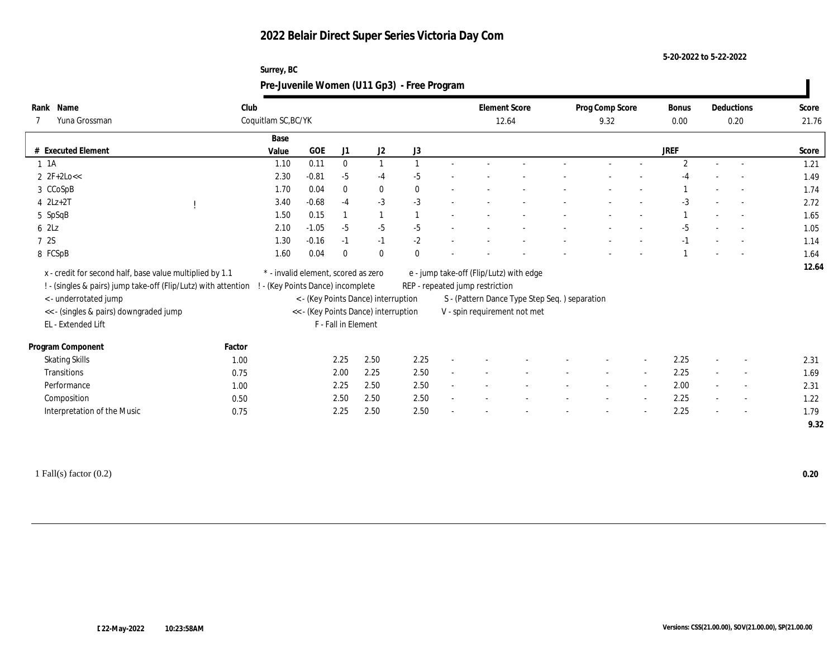**Surrey, BC**

**5-20-2022 to 5-22-2022**

|                                                                                                                            |        |                                                                          |         |                     |                                      | Pre-Juvenile Women (U11 Gp3) - Free Program |                                                                            |                               |                          |                          |                      |                          |                |
|----------------------------------------------------------------------------------------------------------------------------|--------|--------------------------------------------------------------------------|---------|---------------------|--------------------------------------|---------------------------------------------|----------------------------------------------------------------------------|-------------------------------|--------------------------|--------------------------|----------------------|--------------------------|----------------|
| Rank Name<br>Yuna Grossman                                                                                                 | Club   | Coquitlam SC, BC/YK                                                      |         |                     |                                      |                                             |                                                                            | <b>Element Score</b><br>12.64 | Prog Comp Score<br>9.32  |                          | <b>Bonus</b><br>0.00 | Deductions<br>0.20       | Score<br>21.76 |
| # Executed Element                                                                                                         |        | Base<br>Value                                                            | GOE     | J1                  | J2                                   | J3                                          |                                                                            |                               |                          |                          | <b>JREF</b>          |                          | Score          |
| 1 1 A                                                                                                                      |        | 1.10                                                                     | 0.11    | $\mathbf{0}$        |                                      |                                             |                                                                            |                               |                          |                          | $\overline{2}$       | $\overline{\phantom{a}}$ | 1.21           |
| $2 \text{ } 2F+2Lo <<$                                                                                                     |        | 2.30                                                                     | $-0.81$ | $-5$                | $-4$                                 | $-5$                                        |                                                                            |                               |                          |                          |                      |                          | 1.49           |
| 3 CCoSpB                                                                                                                   |        | 1.70                                                                     | 0.04    | $\theta$            | $\bf{0}$                             | $\Omega$                                    |                                                                            |                               |                          |                          |                      | $\overline{\phantom{a}}$ | 1.74           |
| $4$ $2Lz+2T$                                                                                                               |        | 3.40                                                                     | $-0.68$ | $-4$                | $-3$                                 | $-3$                                        |                                                                            |                               |                          |                          | $-3$                 |                          | 2.72           |
| 5 SpSqB                                                                                                                    |        | 1.50                                                                     | 0.15    |                     |                                      |                                             |                                                                            |                               |                          |                          |                      | $\sim$                   | 1.65           |
| 6 2Lz                                                                                                                      |        | 2.10                                                                     | $-1.05$ | $-5$                | $-5$                                 | $-5$                                        |                                                                            |                               |                          |                          | $-5$                 |                          | 1.05           |
| 7 2S                                                                                                                       |        | 1.30                                                                     | $-0.16$ | $-1$                | $-1$                                 | $-2$                                        |                                                                            |                               |                          |                          | $-1$                 | $\sim$                   | 1.14           |
| 8 FCSpB                                                                                                                    |        | 1.60                                                                     | 0.04    | $\theta$            | $\theta$                             |                                             |                                                                            |                               |                          |                          |                      |                          | 1.64           |
| x - credit for second half, base value multiplied by 1.1<br>! - (singles & pairs) jump take-off (Flip/Lutz) with attention |        | * - invalid element, scored as zero<br>! - (Key Points Dance) incomplete |         |                     |                                      |                                             | e - jump take-off (Flip/Lutz) with edge<br>REP - repeated jump restriction |                               |                          |                          |                      |                          | 12.64          |
| < - underrotated jump                                                                                                      |        |                                                                          |         |                     | < - (Key Points Dance) interruption  |                                             | S - (Pattern Dance Type Step Seq.) separation                              |                               |                          |                          |                      |                          |                |
| << - (singles & pairs) downgraded jump<br>EL - Extended Lift                                                               |        |                                                                          |         | F - Fall in Element | << - (Key Points Dance) interruption |                                             | V - spin requirement not met                                               |                               |                          |                          |                      |                          |                |
| Program Component                                                                                                          | Factor |                                                                          |         |                     |                                      |                                             |                                                                            |                               |                          |                          |                      |                          |                |
| <b>Skating Skills</b>                                                                                                      | 1.00   |                                                                          |         | 2.25                | 2.50                                 | 2.25                                        |                                                                            |                               |                          |                          | 2.25                 |                          | 2.31           |
| Transitions                                                                                                                | 0.75   |                                                                          |         | 2.00                | 2.25                                 | 2.50                                        |                                                                            |                               | $\overline{\phantom{a}}$ | $\sim$                   | 2.25                 | $\sim$                   | 1.69           |
| Performance                                                                                                                | 1.00   |                                                                          |         | 2.25                | 2.50                                 | 2.50                                        |                                                                            |                               |                          | $\sim$                   | 2.00                 |                          | 2.31           |
| Composition                                                                                                                | 0.50   |                                                                          |         | 2.50                | 2.50                                 | 2.50                                        |                                                                            |                               |                          | $\overline{\phantom{a}}$ | 2.25                 | $\sim$                   | 1.22           |
| Interpretation of the Music                                                                                                | 0.75   |                                                                          |         | 2.25                | 2.50                                 | 2.50                                        |                                                                            |                               |                          |                          | 2.25                 |                          | 1.79<br>9.32   |
|                                                                                                                            |        |                                                                          |         |                     |                                      |                                             |                                                                            |                               |                          |                          |                      |                          |                |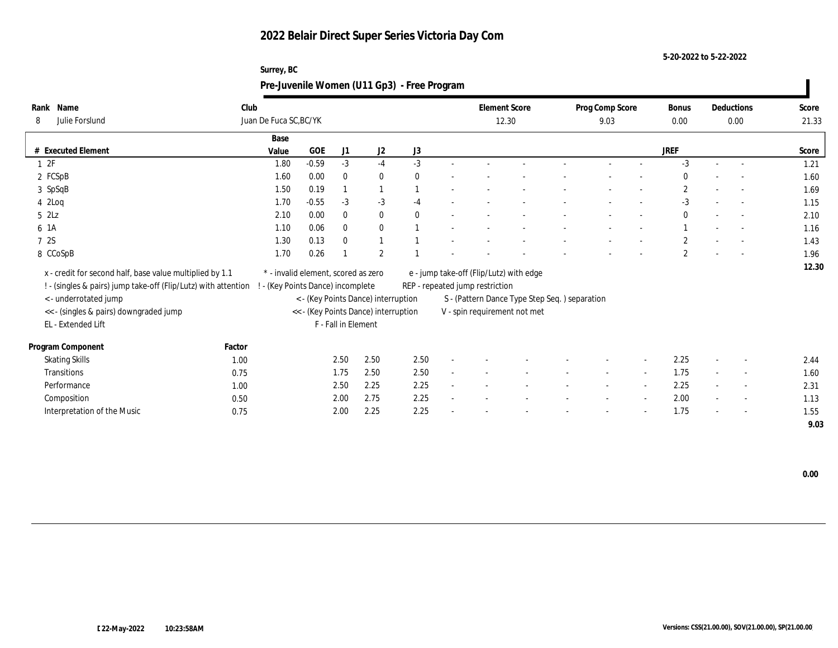**5-20-2022 to 5-22-2022**

| Pre-Juvenile Women (U11 Gp3) - Free Program<br>Club<br><b>Element Score</b><br>Rank Name<br>Prog Comp Score<br>Deductions<br>Bonus<br>Juan De Fuca SC, BC/YK<br>Julie Forslund<br>8<br>12.30<br>9.03<br>0.00<br>0.00<br>Base<br># Executed Element<br><b>GOE</b><br><b>JREF</b><br>J1<br>J <sub>2</sub><br>J3<br>Value<br>$-0.59$<br>$-3$<br>$-3$<br>$-3$<br>12F<br>1.80<br>$-4$<br>2 FCSpB<br>1.60<br>0.00<br>$\bf{0}$<br>$\theta$<br>0<br>$\mathbf{2}$<br>3 SpSqB<br>1.50<br>0.19<br>$-0.55$<br>$-3$<br>42Log<br>1.70<br>$-3$<br>$-3$<br>$-4$<br>$\overline{\phantom{a}}$<br>52Lz<br>0.00<br>$\bf{0}$<br>2.10<br>$\theta$<br>$\Omega$<br>$\theta$<br>0.06<br>$\bf{0}$<br>6 1A<br>1.10<br>$\theta$<br>7 2S<br>1.30<br>0.13<br>$\overline{c}$<br>$\Omega$<br>0.26<br>2<br>$\mathbf{2}$<br>8 CCoSpB<br>1.70<br>x - credit for second half, base value multiplied by 1.1<br>* - invalid element, scored as zero<br>e - jump take-off (Flip/Lutz) with edge<br>! - (singles & pairs) jump take-off (Flip/Lutz) with attention<br>! - (Key Points Dance) incomplete<br>REP - repeated jump restriction<br>< - underrotated jump<br>< - (Key Points Dance) interruption<br>S - (Pattern Dance Type Step Seq.) separation | Score<br>21.33<br>Score<br>1.21 |
|---------------------------------------------------------------------------------------------------------------------------------------------------------------------------------------------------------------------------------------------------------------------------------------------------------------------------------------------------------------------------------------------------------------------------------------------------------------------------------------------------------------------------------------------------------------------------------------------------------------------------------------------------------------------------------------------------------------------------------------------------------------------------------------------------------------------------------------------------------------------------------------------------------------------------------------------------------------------------------------------------------------------------------------------------------------------------------------------------------------------------------------------------------------------------------------------------------------------|---------------------------------|
|                                                                                                                                                                                                                                                                                                                                                                                                                                                                                                                                                                                                                                                                                                                                                                                                                                                                                                                                                                                                                                                                                                                                                                                                                     |                                 |
|                                                                                                                                                                                                                                                                                                                                                                                                                                                                                                                                                                                                                                                                                                                                                                                                                                                                                                                                                                                                                                                                                                                                                                                                                     |                                 |
|                                                                                                                                                                                                                                                                                                                                                                                                                                                                                                                                                                                                                                                                                                                                                                                                                                                                                                                                                                                                                                                                                                                                                                                                                     |                                 |
|                                                                                                                                                                                                                                                                                                                                                                                                                                                                                                                                                                                                                                                                                                                                                                                                                                                                                                                                                                                                                                                                                                                                                                                                                     |                                 |
|                                                                                                                                                                                                                                                                                                                                                                                                                                                                                                                                                                                                                                                                                                                                                                                                                                                                                                                                                                                                                                                                                                                                                                                                                     | 1.60<br>1.69                    |
|                                                                                                                                                                                                                                                                                                                                                                                                                                                                                                                                                                                                                                                                                                                                                                                                                                                                                                                                                                                                                                                                                                                                                                                                                     | 1.15                            |
|                                                                                                                                                                                                                                                                                                                                                                                                                                                                                                                                                                                                                                                                                                                                                                                                                                                                                                                                                                                                                                                                                                                                                                                                                     | 2.10                            |
|                                                                                                                                                                                                                                                                                                                                                                                                                                                                                                                                                                                                                                                                                                                                                                                                                                                                                                                                                                                                                                                                                                                                                                                                                     | 1.16                            |
|                                                                                                                                                                                                                                                                                                                                                                                                                                                                                                                                                                                                                                                                                                                                                                                                                                                                                                                                                                                                                                                                                                                                                                                                                     | 1.43                            |
|                                                                                                                                                                                                                                                                                                                                                                                                                                                                                                                                                                                                                                                                                                                                                                                                                                                                                                                                                                                                                                                                                                                                                                                                                     | 1.96                            |
|                                                                                                                                                                                                                                                                                                                                                                                                                                                                                                                                                                                                                                                                                                                                                                                                                                                                                                                                                                                                                                                                                                                                                                                                                     | 12.30                           |
|                                                                                                                                                                                                                                                                                                                                                                                                                                                                                                                                                                                                                                                                                                                                                                                                                                                                                                                                                                                                                                                                                                                                                                                                                     |                                 |
|                                                                                                                                                                                                                                                                                                                                                                                                                                                                                                                                                                                                                                                                                                                                                                                                                                                                                                                                                                                                                                                                                                                                                                                                                     |                                 |
|                                                                                                                                                                                                                                                                                                                                                                                                                                                                                                                                                                                                                                                                                                                                                                                                                                                                                                                                                                                                                                                                                                                                                                                                                     |                                 |
| << - (singles & pairs) downgraded jump<br><< - (Key Points Dance) interruption<br>V - spin requirement not met                                                                                                                                                                                                                                                                                                                                                                                                                                                                                                                                                                                                                                                                                                                                                                                                                                                                                                                                                                                                                                                                                                      |                                 |
| F - Fall in Element<br>EL - Extended Lift                                                                                                                                                                                                                                                                                                                                                                                                                                                                                                                                                                                                                                                                                                                                                                                                                                                                                                                                                                                                                                                                                                                                                                           |                                 |
| Program Component<br>Factor                                                                                                                                                                                                                                                                                                                                                                                                                                                                                                                                                                                                                                                                                                                                                                                                                                                                                                                                                                                                                                                                                                                                                                                         |                                 |
| 2.50<br>2.50<br>2.50<br>2.25<br><b>Skating Skills</b><br>1.00<br>$\overline{\phantom{a}}$<br>$\overline{\phantom{a}}$                                                                                                                                                                                                                                                                                                                                                                                                                                                                                                                                                                                                                                                                                                                                                                                                                                                                                                                                                                                                                                                                                               | 2.44                            |
| 1.75<br>2.50<br>2.50<br>1.75<br>Transitions<br>0.75<br>$\sim$<br>$\overline{a}$                                                                                                                                                                                                                                                                                                                                                                                                                                                                                                                                                                                                                                                                                                                                                                                                                                                                                                                                                                                                                                                                                                                                     | 1.60                            |
| Performance<br>2.50<br>2.25<br>2.25<br>2.25<br>$\overline{\phantom{a}}$<br>$\overline{a}$                                                                                                                                                                                                                                                                                                                                                                                                                                                                                                                                                                                                                                                                                                                                                                                                                                                                                                                                                                                                                                                                                                                           |                                 |
| 1.00<br>$\sim$<br>2.00<br>Composition<br>2.00<br>2.75<br>2.25<br>0.50<br>$\overline{\phantom{a}}$                                                                                                                                                                                                                                                                                                                                                                                                                                                                                                                                                                                                                                                                                                                                                                                                                                                                                                                                                                                                                                                                                                                   | 2.31<br>1.13                    |
| 2.25<br>Interpretation of the Music<br>0.75<br>2.00<br>2.25<br>1.75                                                                                                                                                                                                                                                                                                                                                                                                                                                                                                                                                                                                                                                                                                                                                                                                                                                                                                                                                                                                                                                                                                                                                 | 1.55                            |
|                                                                                                                                                                                                                                                                                                                                                                                                                                                                                                                                                                                                                                                                                                                                                                                                                                                                                                                                                                                                                                                                                                                                                                                                                     | 9.03                            |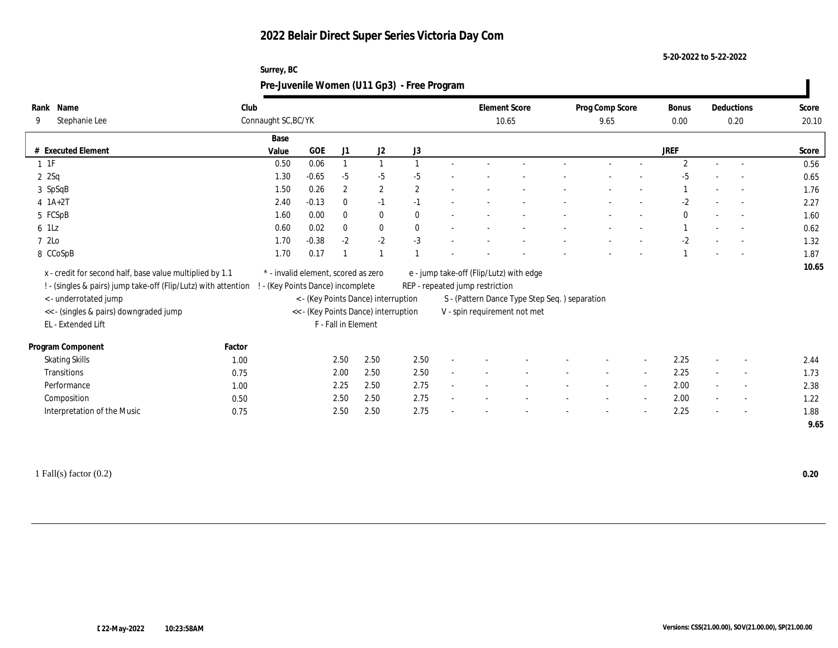**Surrey, BC**

**5-20-2022 to 5-22-2022**

|                                                                |        |                                     |         |                     |                                      | Pre-Juvenile Women (U11 Gp3) - Free Program |                                         |                                               |                          |                          |                       |        |                          |                |
|----------------------------------------------------------------|--------|-------------------------------------|---------|---------------------|--------------------------------------|---------------------------------------------|-----------------------------------------|-----------------------------------------------|--------------------------|--------------------------|-----------------------|--------|--------------------------|----------------|
| Rank Name<br>Stephanie Lee<br>9                                | Club   | Connaught SC, BC/YK                 |         |                     |                                      |                                             | <b>Element Score</b><br>10.65           |                                               | Prog Comp Score<br>9.65  |                          | <b>Bonus</b><br>0.00  |        | Deductions<br>0.20       | Score<br>20.10 |
| # Executed Element                                             |        | Base<br>Value                       | GOE     | J1                  | J <sub>2</sub>                       | J3                                          |                                         |                                               |                          |                          | <b>JREF</b>           |        |                          | Score          |
| $1$ 1F                                                         |        | 0.50                                | 0.06    |                     |                                      |                                             |                                         |                                               |                          |                          | $\mathbf{2}^{\prime}$ |        | $\sim$                   | 0.56           |
| 2 Sq                                                           |        | 1.30                                | $-0.65$ | $-5$                | $-5$                                 | $-5$                                        |                                         |                                               |                          |                          |                       |        |                          | 0.65           |
| 3 SpSqB                                                        |        | 1.50                                | 0.26    | $\mathbf{2}$        | $\mathbf{2}$                         | $\overline{2}$                              |                                         |                                               |                          |                          |                       |        |                          | 1.76           |
| $4$ 1A+2T                                                      |        | 2.40                                | $-0.13$ | $\bf{0}$            | $-1$                                 | $-1$                                        |                                         |                                               |                          |                          | $-2$                  |        |                          | 2.27           |
| 5 FCSpB                                                        |        | 1.60                                | 0.00    | $\Omega$            | $\bf{0}$                             | $\Omega$                                    |                                         |                                               |                          |                          | $\mathbf{0}$          |        | $\sim$                   | 1.60           |
| 6 1Lz                                                          |        | 0.60                                | 0.02    | $\mathbf{0}$        | $\bf{0}$                             |                                             |                                         |                                               |                          |                          |                       |        |                          | 0.62           |
| 7 2Lo                                                          |        | 1.70                                | $-0.38$ | $-2$                | $-2$                                 | $-3$                                        |                                         |                                               |                          |                          | $-2$                  |        | $\sim$                   | 1.32           |
| 8 CCoSpB                                                       |        | 1.70                                | 0.17    |                     |                                      |                                             |                                         |                                               |                          |                          |                       |        |                          | 1.87           |
| x - credit for second half, base value multiplied by 1.1       |        | * - invalid element, scored as zero |         |                     |                                      |                                             | e - jump take-off (Flip/Lutz) with edge |                                               |                          |                          |                       |        |                          | 10.65          |
| ! - (singles & pairs) jump take-off (Flip/Lutz) with attention |        | - (Key Points Dance) incomplete     |         |                     |                                      |                                             | REP - repeated jump restriction         |                                               |                          |                          |                       |        |                          |                |
| <- underrotated jump                                           |        |                                     |         |                     | < - (Key Points Dance) interruption  |                                             |                                         | S - (Pattern Dance Type Step Seq.) separation |                          |                          |                       |        |                          |                |
| << - (singles & pairs) downgraded jump<br>EL - Extended Lift   |        |                                     |         | F - Fall in Element | << - (Key Points Dance) interruption |                                             | V - spin requirement not met            |                                               |                          |                          |                       |        |                          |                |
| Program Component                                              | Factor |                                     |         |                     |                                      |                                             |                                         |                                               |                          |                          |                       |        |                          |                |
| <b>Skating Skills</b>                                          | 1.00   |                                     |         | 2.50                | 2.50                                 | 2.50                                        |                                         |                                               |                          | $\overline{\phantom{a}}$ | 2.25                  |        |                          | 2.44           |
| Transitions                                                    | 0.75   |                                     |         | 2.00                | 2.50                                 | 2.50                                        |                                         |                                               | $\overline{\phantom{a}}$ | $\overline{\phantom{a}}$ | 2.25                  | $\sim$ | $\sim$                   | 1.73           |
| Performance                                                    | 1.00   |                                     |         | 2.25                | 2.50                                 | 2.75                                        |                                         |                                               |                          | $\sim$                   | 2.00                  |        |                          | 2.38           |
| Composition                                                    | 0.50   |                                     |         | 2.50                | 2.50                                 | 2.75                                        |                                         |                                               |                          | $\overline{\phantom{a}}$ | 2.00                  |        | $\sim$                   | 1.22           |
| Interpretation of the Music                                    | 0.75   |                                     |         | 2.50                | 2.50                                 | 2.75                                        |                                         |                                               |                          |                          | 2.25                  |        | $\overline{\phantom{a}}$ | 1.88           |
|                                                                |        |                                     |         |                     |                                      |                                             |                                         |                                               |                          |                          |                       |        |                          | 9.65           |
|                                                                |        |                                     |         |                     |                                      |                                             |                                         |                                               |                          |                          |                       |        |                          |                |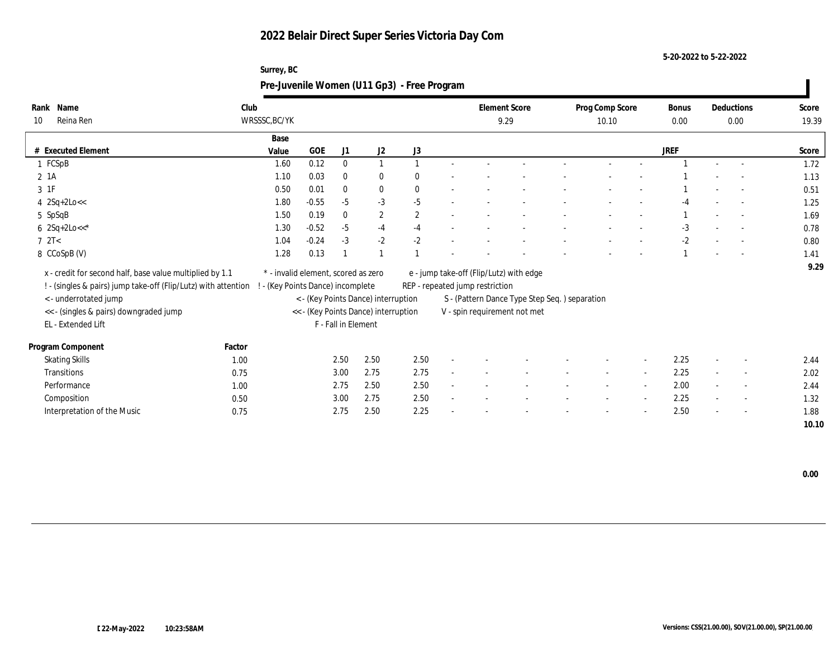**Surrey, BC**

**5-20-2022 to 5-22-2022**

|                                                                                                                            |        | Pre-Juvenile Women (U11 Gp3) - Free Program                            |         |                     |                                      |                |                                                                            |                                               |                          |                          |                      |                          |                |
|----------------------------------------------------------------------------------------------------------------------------|--------|------------------------------------------------------------------------|---------|---------------------|--------------------------------------|----------------|----------------------------------------------------------------------------|-----------------------------------------------|--------------------------|--------------------------|----------------------|--------------------------|----------------|
| Rank Name<br>Reina Ren<br>10                                                                                               | Club   | WRSSSC, BC/YK                                                          |         |                     |                                      |                | <b>Element Score</b><br>9.29                                               |                                               | Prog Comp Score<br>10.10 |                          | <b>Bonus</b><br>0.00 | Deductions<br>0.00       | Score<br>19.39 |
| # Executed Element                                                                                                         |        | Base<br>Value                                                          | GOE     | J1                  | J2                                   | J3             |                                                                            |                                               |                          |                          | <b>JREF</b>          |                          | Score          |
| 1 FCSpB                                                                                                                    |        | 1.60                                                                   | 0.12    | $\mathbf{0}$        |                                      |                |                                                                            |                                               |                          |                          |                      | $\sim$                   | 1.72           |
| $2$ 1A                                                                                                                     |        | 1.10                                                                   | 0.03    | $\theta$            | $\bf{0}$                             |                |                                                                            |                                               |                          |                          |                      |                          | 1.13           |
| 3 1F                                                                                                                       |        | 0.50                                                                   | 0.01    | $\mathbf{0}$        | $\bf{0}$                             |                |                                                                            |                                               |                          |                          |                      |                          | 0.51           |
| 4 2Sq+2Lo<<                                                                                                                |        | 1.80                                                                   | $-0.55$ | $-5$                | $-3$                                 | $-5$           |                                                                            |                                               |                          |                          |                      | $\overline{a}$           | 1.25           |
| 5 SpSqB                                                                                                                    |        | 1.50                                                                   | 0.19    | $\mathbf{0}$        | $\mathbf{2}$                         | $\overline{2}$ |                                                                            |                                               |                          |                          |                      | $\overline{\phantom{a}}$ | 1.69           |
| $6 \ \ 2Sq+2Lo<<^*$                                                                                                        |        | 1.30                                                                   | $-0.52$ | $-5$                | $-4$                                 | $-4$           |                                                                            |                                               |                          |                          | $-3$                 | $\overline{a}$           | 0.78           |
| 72T<                                                                                                                       |        | 1.04                                                                   | $-0.24$ | $-3$                | $-2$                                 | $-2$           |                                                                            |                                               |                          |                          | $-2$                 | $\sim$                   | 0.80           |
| 8 CCoSpB (V)                                                                                                               |        | 1.28                                                                   | 0.13    |                     |                                      |                |                                                                            |                                               |                          |                          |                      |                          | 1.41           |
| x - credit for second half, base value multiplied by 1.1<br>! - (singles & pairs) jump take-off (Flip/Lutz) with attention |        | * - invalid element, scored as zero<br>- (Key Points Dance) incomplete |         |                     |                                      |                | e - jump take-off (Flip/Lutz) with edge<br>REP - repeated jump restriction |                                               |                          |                          |                      |                          | 9.29           |
| <- underrotated jump                                                                                                       |        |                                                                        |         |                     | < - (Key Points Dance) interruption  |                |                                                                            | S - (Pattern Dance Type Step Seq.) separation |                          |                          |                      |                          |                |
| << - (singles & pairs) downgraded jump                                                                                     |        |                                                                        |         |                     | << - (Key Points Dance) interruption |                | V - spin requirement not met                                               |                                               |                          |                          |                      |                          |                |
| EL - Extended Lift                                                                                                         |        |                                                                        |         | F - Fall in Element |                                      |                |                                                                            |                                               |                          |                          |                      |                          |                |
| Program Component                                                                                                          | Factor |                                                                        |         |                     |                                      |                |                                                                            |                                               |                          |                          |                      |                          |                |
| <b>Skating Skills</b>                                                                                                      | 1.00   |                                                                        |         | 2.50                | 2.50                                 | 2.50           |                                                                            |                                               |                          |                          | 2.25                 |                          | 2.44           |
| Transitions                                                                                                                | 0.75   |                                                                        |         | 3.00                | 2.75                                 | 2.75           |                                                                            |                                               |                          | $\sim$                   | 2.25                 | $\sim$                   | 2.02           |
| Performance                                                                                                                | 1.00   |                                                                        |         | 2.75                | 2.50                                 | 2.50           |                                                                            |                                               |                          | $\overline{\phantom{a}}$ | 2.00                 |                          | 2.44           |
| Composition                                                                                                                | 0.50   |                                                                        |         | 3.00                | 2.75                                 | 2.50           |                                                                            |                                               |                          | $\overline{\phantom{a}}$ | 2.25                 | $\sim$                   | 1.32           |
| Interpretation of the Music                                                                                                | 0.75   |                                                                        |         | 2.75                | 2.50                                 | 2.25           |                                                                            |                                               |                          |                          | 2.50                 |                          | 1.88           |
|                                                                                                                            |        |                                                                        |         |                     |                                      |                |                                                                            |                                               |                          |                          |                      |                          | 10.10          |

 **0.00**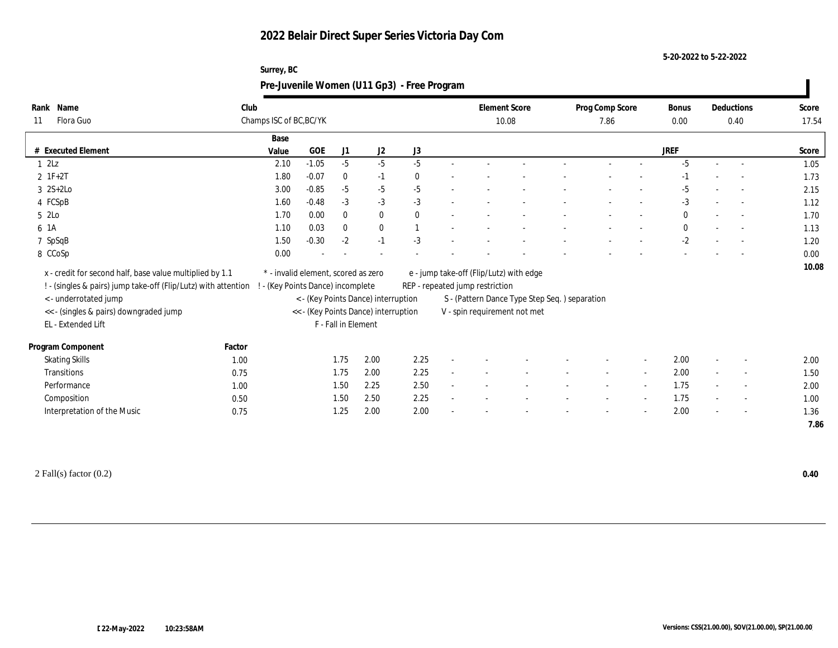**Surrey, BC**

**5-20-2022 to 5-22-2022**

|                                                                                                                            |        |                                                                        |         |                     |                                      | Pre-Juvenile Women (U11 Gp3) - Free Program |                                                                            |                                               |                          |                          |               |                          |                |
|----------------------------------------------------------------------------------------------------------------------------|--------|------------------------------------------------------------------------|---------|---------------------|--------------------------------------|---------------------------------------------|----------------------------------------------------------------------------|-----------------------------------------------|--------------------------|--------------------------|---------------|--------------------------|----------------|
| Rank Name<br>Flora Guo<br>11                                                                                               | Club   | Champs ISC of BC, BC/YK                                                |         |                     |                                      |                                             | 10.08                                                                      | <b>Element Score</b>                          | Prog Comp Score<br>7.86  |                          | Bonus<br>0.00 | Deductions<br>0.40       | Score<br>17.54 |
| # Executed Element                                                                                                         |        | Base<br>Value                                                          | GOE     | J1                  | J2                                   | J3                                          |                                                                            |                                               |                          |                          | <b>JREF</b>   |                          | Score          |
| $1 \t2Lz$                                                                                                                  |        | 2.10                                                                   | $-1.05$ | $-5$                | $-5$                                 | $-5$                                        |                                                                            |                                               |                          |                          | $-5$          | $\sim$                   | 1.05           |
| $2 \t1F+2T$                                                                                                                |        | 1.80                                                                   | $-0.07$ | $\bf{0}$            | $-1$                                 |                                             |                                                                            |                                               |                          |                          |               |                          | 1.73           |
| $3 \quad 2S+2Lo$                                                                                                           |        | 3.00                                                                   | $-0.85$ | $-5$                | $-5$                                 | $-5$                                        |                                                                            |                                               |                          |                          | $-5$          | $\overline{\phantom{a}}$ | 2.15           |
| 4 FCSpB                                                                                                                    |        | 1.60                                                                   | $-0.48$ | $-3$                | $-3$                                 | $-3$                                        |                                                                            |                                               |                          |                          | $-3$          | $\overline{a}$           | 1.12           |
| 5 2Lo                                                                                                                      |        | 1.70                                                                   | 0.00    | $\mathbf{0}$        | $\mathbf{0}$                         | $\Omega$                                    |                                                                            |                                               |                          |                          | $\bf{0}$      | $\overline{\phantom{a}}$ | 1.70           |
| 6 1A                                                                                                                       |        | 1.10                                                                   | 0.03    | $\mathbf{0}$        | $\bf{0}$                             |                                             |                                                                            |                                               |                          |                          | $\bf{0}$      | $\overline{\phantom{a}}$ | 1.13           |
| 7 SpSqB                                                                                                                    |        | 1.50                                                                   | $-0.30$ | $-2$                | $-1$                                 | $-3$                                        |                                                                            |                                               |                          |                          | $-2$          | $\sim$                   | 1.20           |
| 8 CCoSp                                                                                                                    |        | 0.00                                                                   |         |                     |                                      |                                             |                                                                            |                                               |                          |                          |               |                          | 0.00           |
| x - credit for second half, base value multiplied by 1.1<br>! - (singles & pairs) jump take-off (Flip/Lutz) with attention |        | * - invalid element, scored as zero<br>- (Key Points Dance) incomplete |         |                     |                                      |                                             | e - jump take-off (Flip/Lutz) with edge<br>REP - repeated jump restriction |                                               |                          |                          |               |                          | 10.08          |
| <- underrotated jump                                                                                                       |        |                                                                        |         |                     | < - (Key Points Dance) interruption  |                                             |                                                                            | S - (Pattern Dance Type Step Seq.) separation |                          |                          |               |                          |                |
| << - (singles & pairs) downgraded jump                                                                                     |        |                                                                        |         |                     | << - (Key Points Dance) interruption |                                             | V - spin requirement not met                                               |                                               |                          |                          |               |                          |                |
| EL - Extended Lift                                                                                                         |        |                                                                        |         | F - Fall in Element |                                      |                                             |                                                                            |                                               |                          |                          |               |                          |                |
| Program Component                                                                                                          | Factor |                                                                        |         |                     |                                      |                                             |                                                                            |                                               |                          |                          |               |                          |                |
| <b>Skating Skills</b>                                                                                                      | 1.00   |                                                                        |         | 1.75                | 2.00                                 | 2.25                                        |                                                                            |                                               |                          |                          | 2.00          |                          | 2.00           |
| Transitions                                                                                                                | 0.75   |                                                                        |         | 1.75                | 2.00                                 | 2.25                                        |                                                                            |                                               |                          | $\sim$                   | 2.00          | $\overline{\phantom{a}}$ | 1.50           |
| Performance                                                                                                                | 1.00   |                                                                        |         | 1.50                | 2.25                                 | 2.50                                        |                                                                            |                                               |                          | $\sim$                   | 1.75          |                          | 2.00           |
| Composition                                                                                                                | 0.50   |                                                                        |         | 1.50                | 2.50                                 | 2.25                                        |                                                                            |                                               | $\overline{\phantom{a}}$ | $\sim$                   | 1.75          | $\overline{\phantom{a}}$ | 1.00           |
| Interpretation of the Music                                                                                                | 0.75   |                                                                        |         | 1.25                | 2.00                                 | 2.00                                        |                                                                            |                                               |                          | $\overline{\phantom{a}}$ | 2.00          | $\overline{\phantom{a}}$ | 1.36           |
|                                                                                                                            |        |                                                                        |         |                     |                                      |                                             |                                                                            |                                               |                          |                          |               |                          | 7.86           |
|                                                                                                                            |        |                                                                        |         |                     |                                      |                                             |                                                                            |                                               |                          |                          |               |                          |                |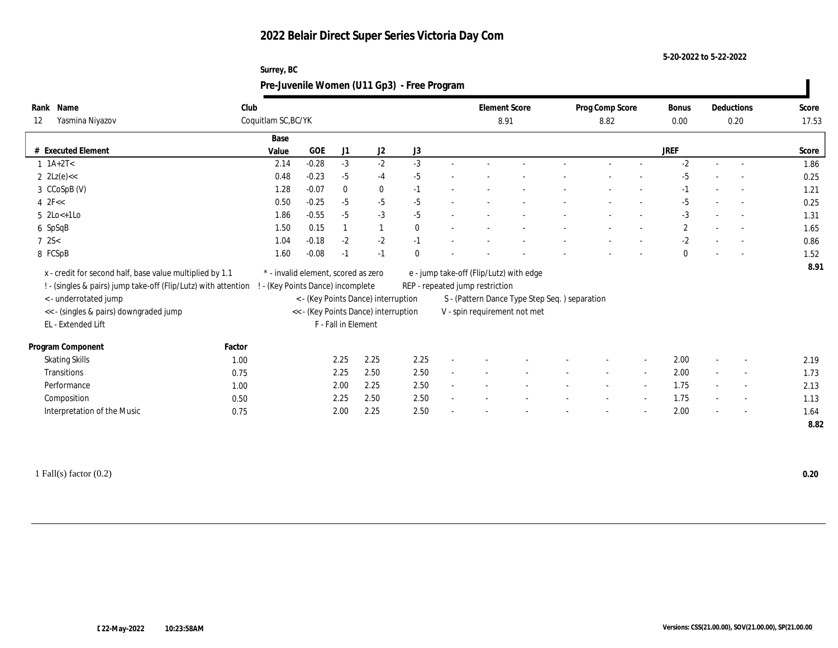**Surrey, BC**

**5-20-2022 to 5-22-2022**

|                                                                |        |                                     |         |                     |                                      | Pre-Juvenile Women (U11 Gp3) - Free Program |                                 |                                               |                         |        |                      |        |                          |                |
|----------------------------------------------------------------|--------|-------------------------------------|---------|---------------------|--------------------------------------|---------------------------------------------|---------------------------------|-----------------------------------------------|-------------------------|--------|----------------------|--------|--------------------------|----------------|
| Rank Name<br>Yasmina Niyazov<br>12                             | Club   | Coquitlam SC, BC/YK                 |         |                     |                                      |                                             | <b>Element Score</b><br>8.91    |                                               | Prog Comp Score<br>8.82 |        | <b>Bonus</b><br>0.00 |        | Deductions<br>0.20       | Score<br>17.53 |
| # Executed Element                                             |        | Base<br>Value                       | GOE     | J1                  | J <sub>2</sub>                       | J3                                          |                                 |                                               |                         |        | <b>JREF</b>          |        |                          | Score          |
| $1 \ 1A+2T2$                                                   |        | 2.14                                | $-0.28$ | $-3$                | $-2$                                 | $-3$                                        |                                 |                                               |                         |        | $-2$                 |        | $\overline{\phantom{a}}$ | 1.86           |
| 2 $2Lz(e) <$                                                   |        | 0.48                                | $-0.23$ | $-5$                | $-4$                                 | $-5$                                        |                                 |                                               |                         |        | $-5$                 |        |                          | 0.25           |
| 3 CCoSpB (V)                                                   |        | 1.28                                | $-0.07$ | $\mathbf{0}$        | $\bf{0}$                             | $-1$                                        |                                 |                                               |                         |        |                      |        | $\overline{\phantom{a}}$ | 1.21           |
| $4$ $2F <$                                                     |        | 0.50                                | $-0.25$ | $-5$                | $-5$                                 | $-5$                                        |                                 |                                               |                         |        | $-5$                 |        | $\overline{\phantom{a}}$ | 0.25           |
| $5$ 2Lo $\lt$ +1Lo                                             |        | 1.86                                | $-0.55$ | $-5$                | $-3$                                 | $-5$                                        |                                 |                                               |                         |        | $-3$                 |        | $\overline{\phantom{a}}$ | 1.31           |
| 6 SpSqB                                                        |        | 1.50                                | 0.15    |                     |                                      | $\Omega$                                    |                                 |                                               |                         |        | $\boldsymbol{2}$     |        | $\overline{\phantom{a}}$ | 1.65           |
| $7 \, 2S <$                                                    |        | 1.04                                | $-0.18$ | $-2$                | $-2$                                 | $-1$                                        |                                 |                                               |                         |        | $-2$                 |        |                          | 0.86           |
| 8 FCSpB                                                        |        | 1.60                                | $-0.08$ | -1                  | $-1$                                 |                                             |                                 |                                               |                         |        | $\Omega$             |        | $\overline{\phantom{a}}$ | 1.52           |
| x - credit for second half, base value multiplied by 1.1       |        | * - invalid element, scored as zero |         |                     |                                      |                                             |                                 | e - jump take-off (Flip/Lutz) with edge       |                         |        |                      |        |                          | 8.91           |
| ! - (singles & pairs) jump take-off (Flip/Lutz) with attention |        | ! - (Key Points Dance) incomplete   |         |                     |                                      |                                             | REP - repeated jump restriction |                                               |                         |        |                      |        |                          |                |
| < - underrotated jump                                          |        |                                     |         |                     | < - (Key Points Dance) interruption  |                                             |                                 | S - (Pattern Dance Type Step Seq.) separation |                         |        |                      |        |                          |                |
| << - (singles & pairs) downgraded jump                         |        |                                     |         |                     | << - (Key Points Dance) interruption |                                             |                                 | V - spin requirement not met                  |                         |        |                      |        |                          |                |
| EL - Extended Lift                                             |        |                                     |         | F - Fall in Element |                                      |                                             |                                 |                                               |                         |        |                      |        |                          |                |
| Program Component                                              | Factor |                                     |         |                     |                                      |                                             |                                 |                                               |                         |        |                      |        |                          |                |
| <b>Skating Skills</b>                                          | 1.00   |                                     |         | 2.25                | 2.25                                 | 2.25                                        |                                 |                                               |                         |        | 2.00                 |        |                          | 2.19           |
| Transitions                                                    | 0.75   |                                     |         | 2.25                | 2.50                                 | 2.50                                        |                                 |                                               | $\sim$                  | $\sim$ | 2.00                 | $\sim$ | $\sim$                   | 1.73           |
| Performance                                                    | 1.00   |                                     |         | 2.00                | 2.25                                 | 2.50                                        |                                 |                                               |                         | $\sim$ | 1.75                 |        | $\overline{\phantom{a}}$ | 2.13           |
| Composition                                                    | 0.50   |                                     |         | 2.25                | 2.50                                 | 2.50                                        |                                 |                                               |                         | $\sim$ | 1.75                 |        |                          | 1.13           |
| Interpretation of the Music                                    | 0.75   |                                     |         | 2.00                | 2.25                                 | 2.50                                        |                                 |                                               |                         |        | 2.00                 |        |                          | 1.64           |
|                                                                |        |                                     |         |                     |                                      |                                             |                                 |                                               |                         |        |                      |        |                          | 8.82           |
|                                                                |        |                                     |         |                     |                                      |                                             |                                 |                                               |                         |        |                      |        |                          |                |